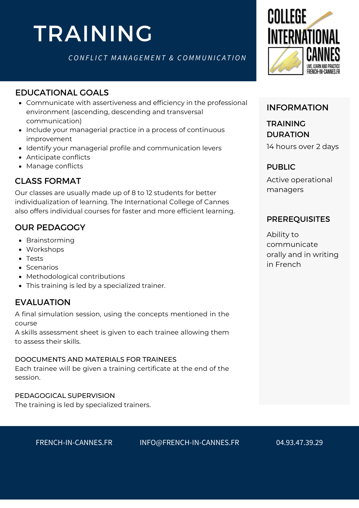# TRAINING

*CONF L I C T M ANA G E M ENT & CO M M UNI C A T ION*

# EDUCATIONAL GOALS

- Communicate with assertiveness and efficiency in the professional environment (ascending, descending and transversal communication)
- Include your managerial practice in a process of continuous improvement
- Identify your managerial profile and communication levers
- Anticipate conflicts
- Manage conflicts

# CLASS FORMAT

Our classes are usually made up of 8 to 12 students for better individualization of learning. The International College of Cannes also offers individual courses for faster and more efficient learning.

# OUR PEDAGOGY

- Brainstorming
- Workshops
- Tests
- Scenarios
- Methodological contributions
- This training is led by a specialized trainer.

# EVALUATION

A final simulation session, using the concepts mentioned in the course

A skills assessment sheet is given to each trainee allowing them to assess their skills.

#### DOOCUMENTS AND MATERIALS FOR TRAINEES

Each trainee will be given a training certificate at the end of the session.

#### PEDAGOGICAL SUPERVISION

The training is led by specialized trainers.



#### INFORMATION

14 hours over 2 days TRAINING DURATION

#### PUBLIC

Active operational managers

#### [PREREQUISITES](https://college360fr.wpcomstaging.com/en/francais-economie-bleue/)

Ability to communicate orally and in writing in French

FRENCH-IN-CANNES.FR INFO@FRENCH-IN-CANNES.FR 04.93.47.39.29